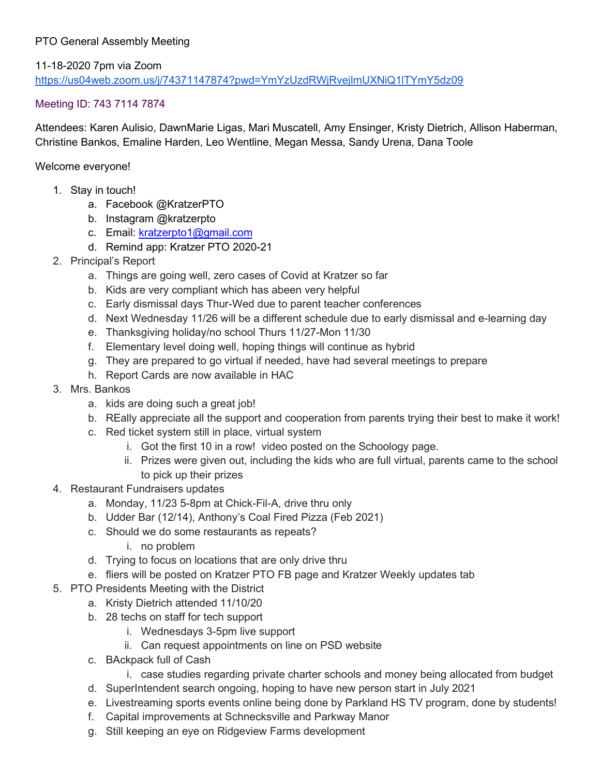## PTO General Assembly Meeting

11-18-2020 7pm via Zoom <https://us04web.zoom.us/j/74371147874?pwd=YmYzUzdRWjRvejlmUXNiQ1lTYmY5dz09>

## Meeting ID: 743 7114 7874

Attendees: Karen Aulisio, DawnMarie Ligas, Mari Muscatell, Amy Ensinger, Kristy Dietrich, Allison Haberman, Christine Bankos, Emaline Harden, Leo Wentline, Megan Messa, Sandy Urena, Dana Toole

Welcome everyone!

- 1. Stay in touch!
	- a. Facebook @KratzerPTO
	- b. Instagram @kratzerpto
	- c. Email: [kratzerpto1@gmail.com](mailto:kratzerpto1@gmail.com)
	- d. Remind app: Kratzer PTO 2020-21
- 2. Principal's Report
	- a. Things are going well, zero cases of Covid at Kratzer so far
	- b. Kids are very compliant which has abeen very helpful
	- c. Early dismissal days Thur-Wed due to parent teacher conferences
	- d. Next Wednesday 11/26 will be a different schedule due to early dismissal and e-learning day
	- e. Thanksgiving holiday/no school Thurs 11/27-Mon 11/30
	- f. Elementary level doing well, hoping things will continue as hybrid
	- g. They are prepared to go virtual if needed, have had several meetings to prepare
	- h. Report Cards are now available in HAC
- 3. Mrs. Bankos
	- a. kids are doing such a great job!
	- b. REally appreciate all the support and cooperation from parents trying their best to make it work!
	- c. Red ticket system still in place, virtual system
		- i. Got the first 10 in a row! video posted on the Schoology page.
		- ii. Prizes were given out, including the kids who are full virtual, parents came to the school to pick up their prizes
- 4. Restaurant Fundraisers updates
	- a. Monday, 11/23 5-8pm at Chick-Fil-A, drive thru only
	- b. Udder Bar (12/14), Anthony's Coal Fired Pizza (Feb 2021)
	- c. Should we do some restaurants as repeats?
		- i. no problem
	- d. Trying to focus on locations that are only drive thru
	- e. fliers will be posted on Kratzer PTO FB page and Kratzer Weekly updates tab
- 5. PTO Presidents Meeting with the District
	- a. Kristy Dietrich attended 11/10/20
	- b. 28 techs on staff for tech support
		- i. Wednesdays 3-5pm live support
		- ii. Can request appointments on line on PSD website
	- c. BAckpack full of Cash
		- i. case studies regarding private charter schools and money being allocated from budget
	- d. SuperIntendent search ongoing, hoping to have new person start in July 2021
	- e. Livestreaming sports events online being done by Parkland HS TV program, done by students!
	- f. Capital improvements at Schnecksville and Parkway Manor
	- g. Still keeping an eye on Ridgeview Farms development